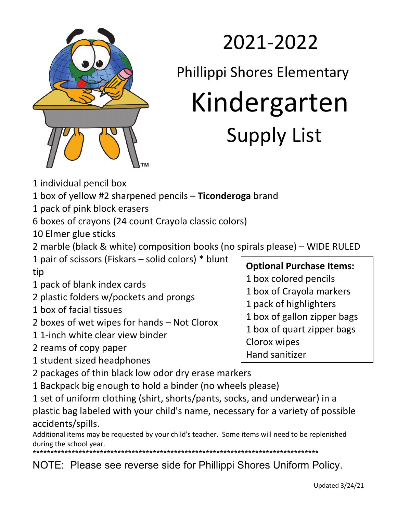

## 2021-2022

Phillippi Shores Elementary

# Kindergarten<br>Supply List

- 1 individual pencil box
- 1 box of yellow #2 sharpened pencils **Ticonderoga** brand
- 1 pack of pink block erasers
- 6 boxes of crayons (24 count Crayola classic colors)

10 Elmer glue sticks

- 2 marble (black & white) composition books (no spirals please) WIDE RULED
- 1 pair of scissors (Fiskars solid colors) \* blunt tip
- 1 pack of blank index cards
- 2 plastic folders w/pockets and prongs
- 1 box of facial tissues
- 2 boxes of wet wipes for hands Not Clorox
- 1 1-inch white clear view binder
- 2 reams of copy paper
- 1 student sized headphones
- 2 packages of thin black low odor dry erase markers
- 1 Backpack big enough to hold a binder (no wheels please)

1 set of uniform clothing (shirt, shorts/pants, socks, and underwear) in a plastic bag labeled with your child's name, necessary for a variety of possible accidents/spills.

Additional items may be requested by your child's teacher. Some items will need to be replenished during the school year.

\*\*\*\*\*\*\*\*\*\*\*\*\*\*\*\*\*\*\*\*\*\*\*\*\*\*\*\*\*\*\*\*\*\*\*\*\*\*\*\*\*\*\*\*\*\*\*\*\*\*\*\*\*\*\*\*\*\*\*\*\*\*\*\*\*\*\*\*\*\*\*\*\*\*\*\*\*\*\*\*\*

NOTE: Please see reverse side for Phillippi Shores Uniform Policy.

### **Optional Purchase Items:**

- 1 box colored pencils
- 1 box of Crayola markers
- 1 pack of highlighters
- 1 box of gallon zipper bags
- 1 box of quart zipper bags
- Clorox wipes
	- Hand sanitizer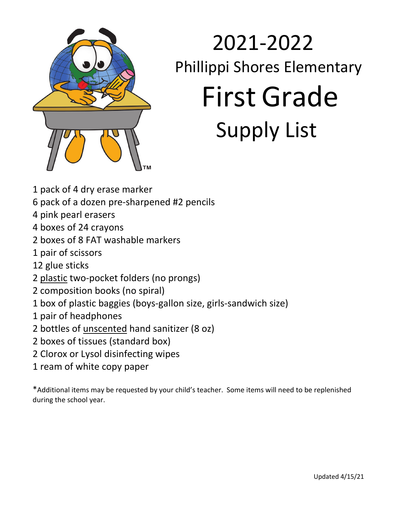

## 2021-2022 Phillippi Shores Elementary First Grade Supply List

- 1 pack of 4 dry erase marker
- 6 pack of a dozen pre-sharpened #2 pencils
- 4 pink pearl erasers
- 4 boxes of 24 crayons
- 2 boxes of 8 FAT washable markers
- 1 pair of scissors
- 12 glue sticks
- 2 plastic two-pocket folders (no prongs)
- 2 composition books (no spiral)
- 1 box of plastic baggies (boys-gallon size, girls-sandwich size)
- 1 pair of headphones
- 2 bottles of unscented hand sanitizer (8 oz)
- 2 boxes of tissues (standard box)
- 2 Clorox or Lysol disinfecting wipes
- 1 ream of white copy paper

\*Additional items may be requested by your child's teacher. Some items will need to be replenished during the school year.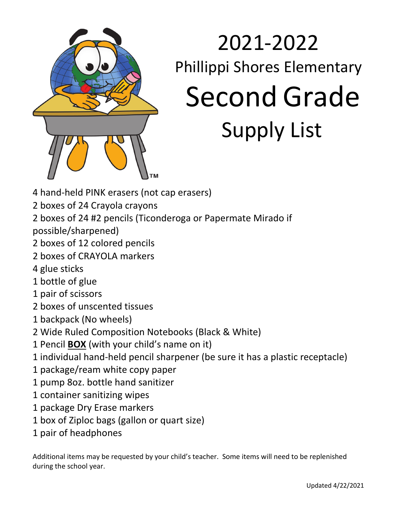

## 2021-2022 Phillippi Shores Elementary Second Grade Supply List

- 4 hand-held PINK erasers (not cap erasers)
- 2 boxes of 24 Crayola crayons
- 2 boxes of 24 #2 pencils (Ticonderoga or Papermate Mirado if
- possible/sharpened)
- 2 boxes of 12 colored pencils
- 2 boxes of CRAYOLA markers
- 4 glue sticks
- 1 bottle of glue
- 1 pair of scissors
- 2 boxes of unscented tissues
- 1 backpack (No wheels)
- 2 Wide Ruled Composition Notebooks (Black & White)
- 1 Pencil **BOX** (with your child's name on it)
- 1 individual hand-held pencil sharpener (be sure it has a plastic receptacle)
- 1 package/ream white copy paper
- 1 pump 8oz. bottle hand sanitizer
- 1 container sanitizing wipes
- 1 package Dry Erase markers
- 1 box of Ziploc bags (gallon or quart size)
- 1 pair of headphones

Additional items may be requested by your child's teacher. Some items will need to be replenished during the school year.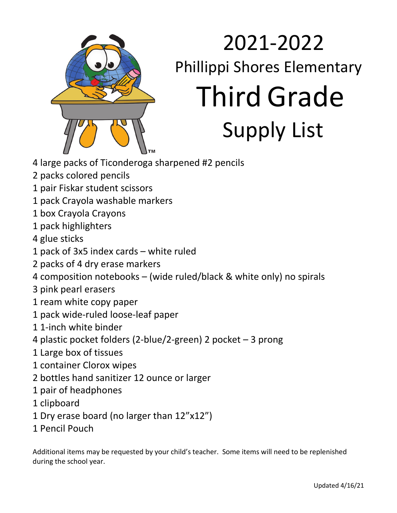

# 2021-2022 Phillippi Shores Elementary Third Grade<br>Supply List

- 4 large packs of Ticonderoga sharpened #2 pencils
- 2 packs colored pencils
- 1 pair Fiskar student scissors
- 1 pack Crayola washable markers
- 1 box Crayola Crayons
- 1 pack highlighters
- 4 glue sticks
- 1 pack of 3x5 index cards white ruled
- 2 packs of 4 dry erase markers
- 4 composition notebooks (wide ruled/black & white only) no spirals
- 3 pink pearl erasers
- 1 ream white copy paper
- 1 pack wide-ruled loose-leaf paper
- 1 1-inch white binder
- 4 plastic pocket folders (2-blue/2-green) 2 pocket 3 prong
- 1 Large box of tissues
- 1 container Clorox wipes
- 2 bottles hand sanitizer 12 ounce or larger
- 1 pair of headphones
- 1 clipboard
- 1 Dry erase board (no larger than 12"x12")
- 1 Pencil Pouch

Additional items may be requested by your child's teacher. Some items will need to be replenished during the school year.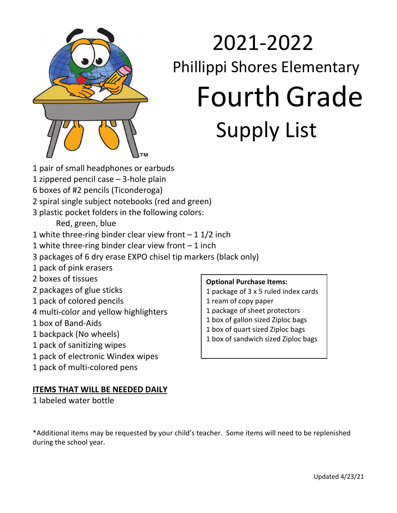

## 2021-2022 Phillippi Shores Elementary Fourth Grade Supply List

- 1 pair of small headphones or earbuds
- 1 zippered pencil case 3-hole plain
- 6 boxes of #2 pencils (Ticonderoga)
- 2 spiral single subject notebooks (red and green)
- 3 plastic pocket folders in the following colors:

Red, green, blue

- 1 white three-ring binder clear view front  $-11/2$  inch
- 1 white three-ring binder clear view front 1 inch
- 3 packages of 6 dry erase EXPO chisel tip markers (black only)
- 1 pack of pink erasers
- 2 boxes of tissues
- 2 packages of glue sticks
- 1 pack of colored pencils
- 4 multi-color and yellow highlighters
- 1 box of Band-Aids
- 1 backpack (No wheels)
- 1 pack of sanitizing wipes
- 1 pack of electronic Windex wipes
- 1 pack of multi-colored pens

#### **ITEMS THAT WILL BE NEEDED DAILY**

1 labeled water bottle

#### **Optional Purchase Items:**

- 1 package of 3 x 5 ruled index cards
- 1 ream of copy paper
- 1 package of sheet protectors
- 1 box of gallon sized Ziploc bags
- 1 box of quart sized Ziploc bags
- 1 box of sandwich sized Ziploc bags

\*Additional items may be requested by your child's teacher. Some items will need to be replenished during the school year.